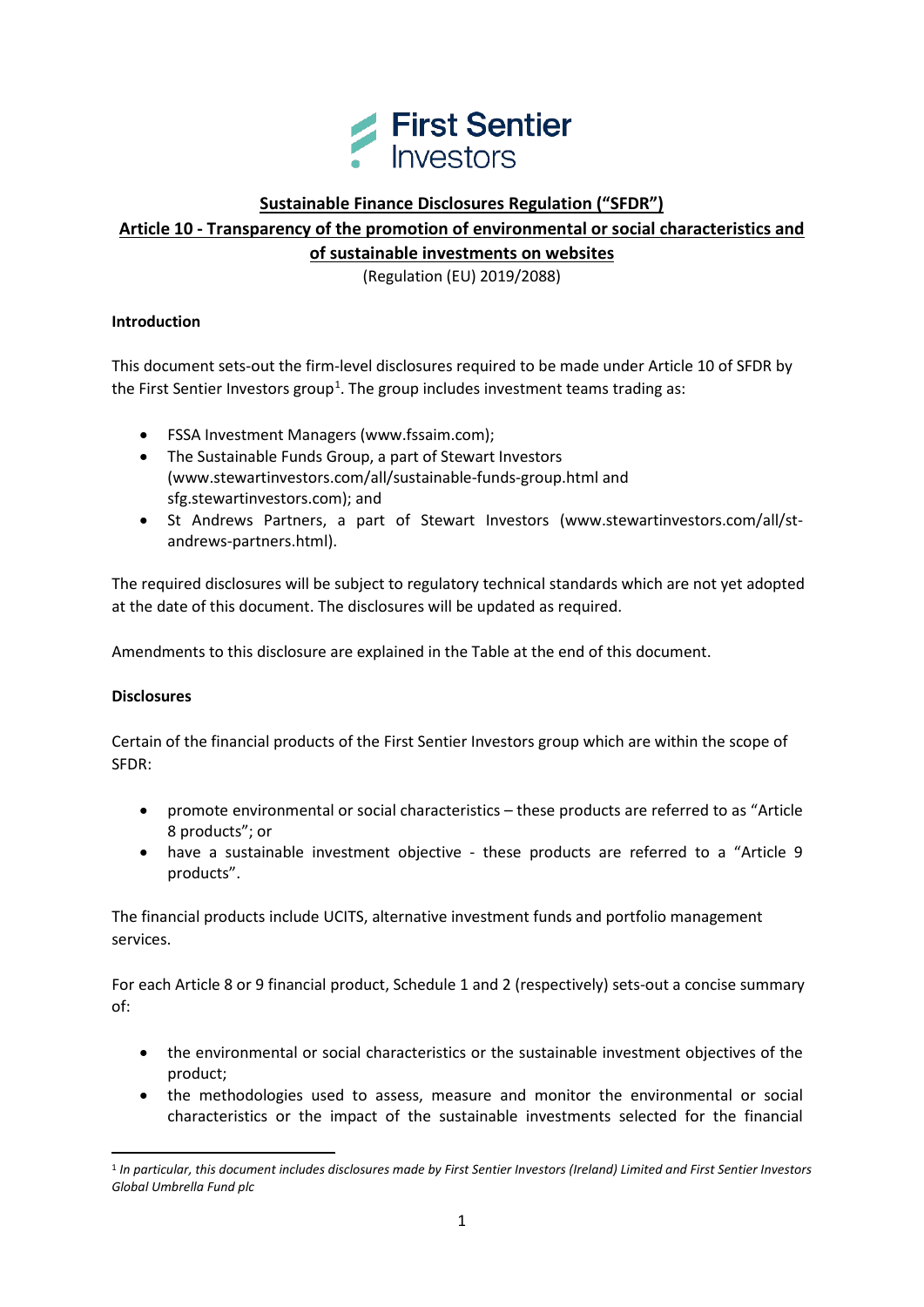

# **Sustainable Finance Disclosures Regulation ("SFDR")**

**Article 10 - Transparency of the promotion of environmental or social characteristics and of sustainable investments on websites**

(Regulation (EU) 2019/2088)

### **Introduction**

This document sets-out the firm-level disclosures required to be made under Article 10 of SFDR by the First Sentier Investors group<sup>[1](#page-0-0)</sup>. The group includes investment teams trading as:

- FSSA Investment Managers (www.fssaim.com);
- The Sustainable Funds Group, a part of Stewart Investors [\(www.stewartinvestors.com/all/sustainable-funds-group.html](http://www.stewartinvestors.com/all/sustainable-funds-group.html) and sfg.stewartinvestors.com); and
- St Andrews Partners, a part of Stewart Investors (www.stewartinvestors.com/all/standrews-partners.html).

The required disclosures will be subject to regulatory technical standards which are not yet adopted at the date of this document. The disclosures will be updated as required.

Amendments to this disclosure are explained in the Table at the end of this document.

## **Disclosures**

 $\overline{a}$ 

Certain of the financial products of the First Sentier Investors group which are within the scope of SFDR:

- promote environmental or social characteristics these products are referred to as "Article 8 products"; or
- have a sustainable investment objective these products are referred to a "Article 9 products".

The financial products include UCITS, alternative investment funds and portfolio management services.

For each Article 8 or 9 financial product, Schedule 1 and 2 (respectively) sets-out a concise summary of:

- the environmental or social characteristics or the sustainable investment objectives of the product;
- the methodologies used to assess, measure and monitor the environmental or social characteristics or the impact of the sustainable investments selected for the financial

<span id="page-0-0"></span><sup>1</sup> *In particular, this document includes disclosures made by First Sentier Investors (Ireland) Limited and First Sentier Investors Global Umbrella Fund plc*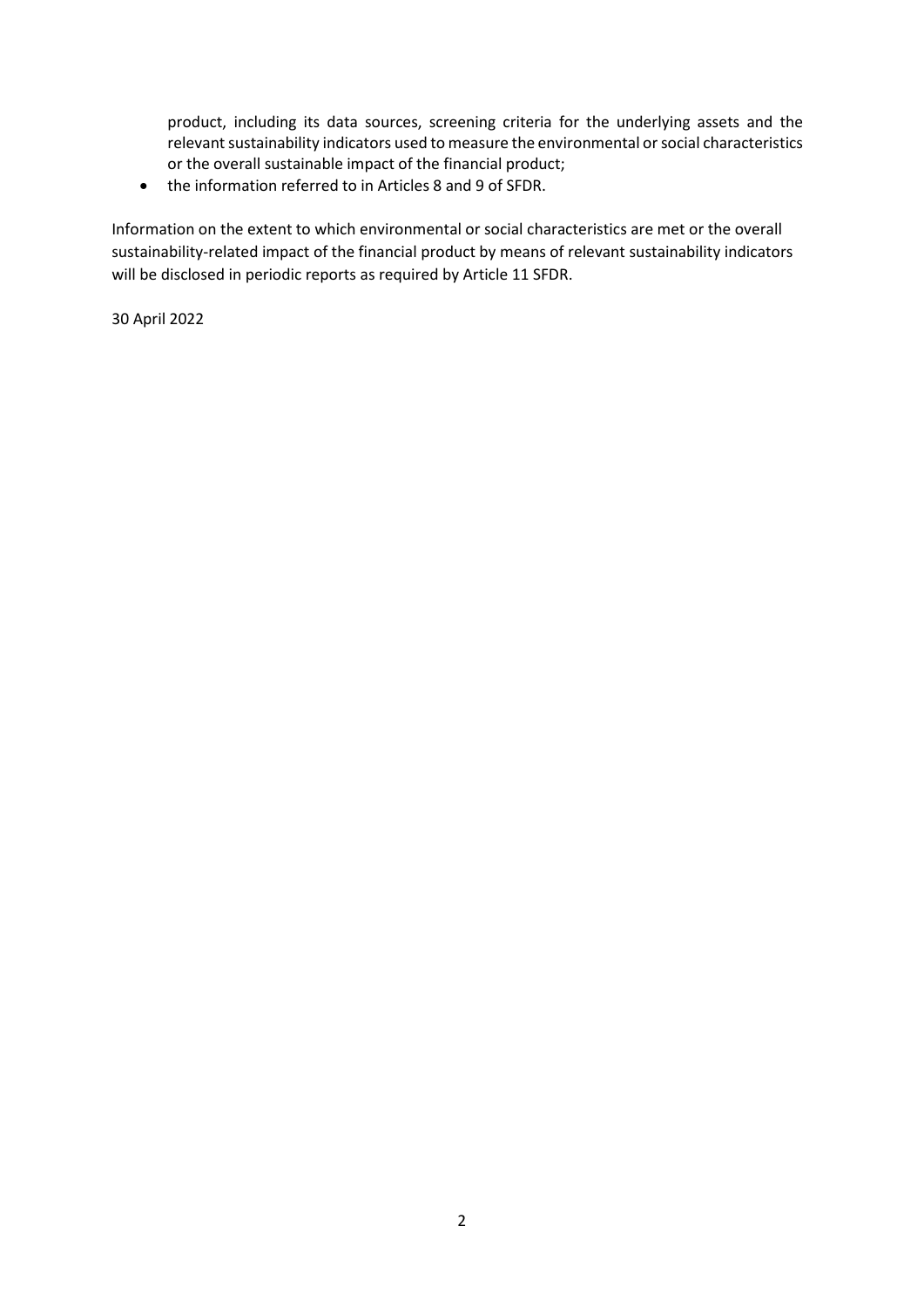product, including its data sources, screening criteria for the underlying assets and the relevant sustainability indicators used to measure the environmental or social characteristics or the overall sustainable impact of the financial product;

• the information referred to in Articles 8 and 9 of SFDR.

Information on the extent to which environmental or social characteristics are met or the overall sustainability-related impact of the financial product by means of relevant sustainability indicators will be disclosed in periodic reports as required by Article 11 SFDR.

30 April 2022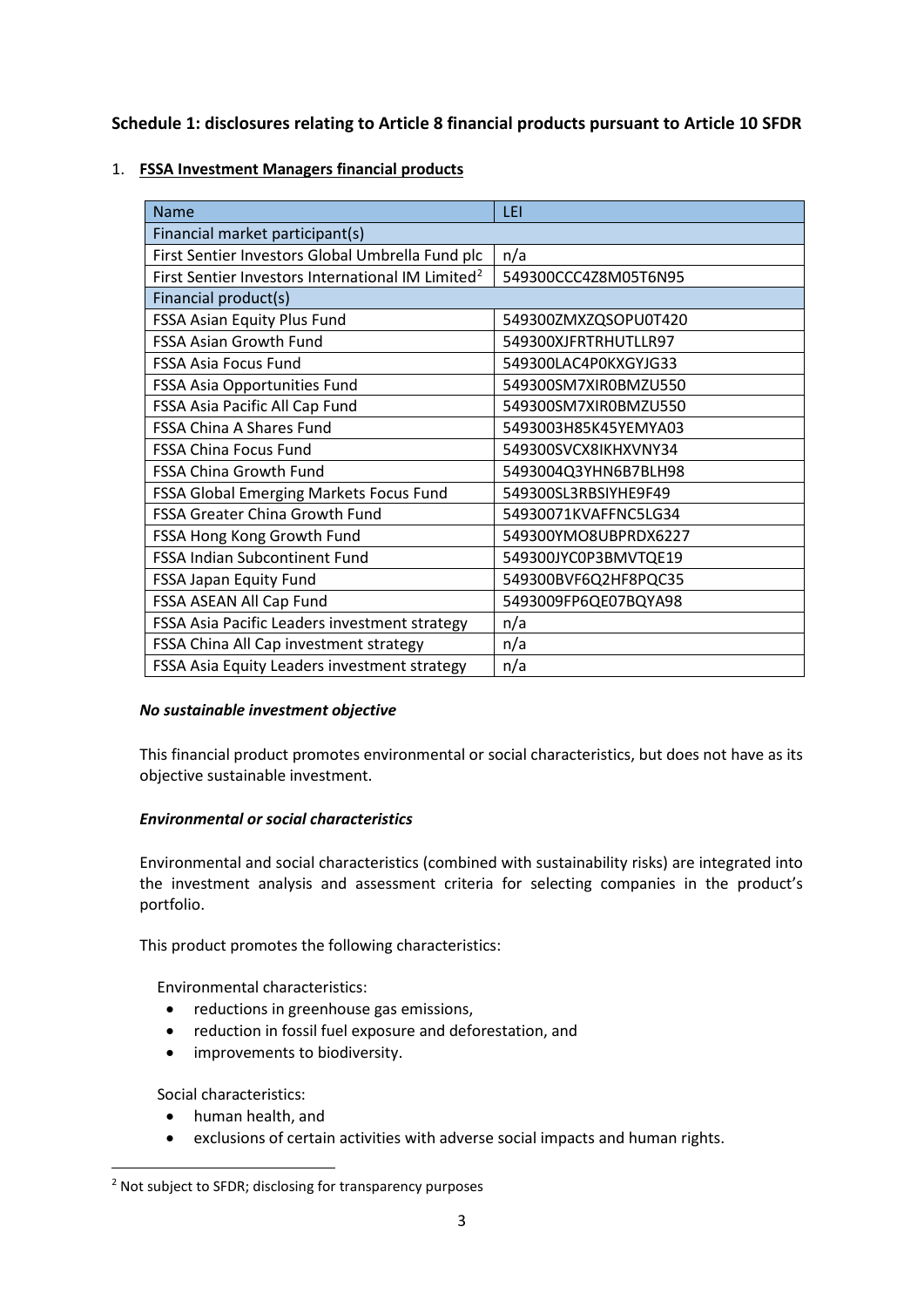**Schedule 1: disclosures relating to Article 8 financial products pursuant to Article 10 SFDR**

# 1. **FSSA Investment Managers financial products**

| Name                                                          | LEI                  |
|---------------------------------------------------------------|----------------------|
| Financial market participant(s)                               |                      |
| First Sentier Investors Global Umbrella Fund plc              | n/a                  |
| First Sentier Investors International IM Limited <sup>2</sup> | 549300CCC4Z8M05T6N95 |
| Financial product(s)                                          |                      |
| FSSA Asian Equity Plus Fund                                   | 549300ZMXZQSOPU0T420 |
| <b>FSSA Asian Growth Fund</b>                                 | 549300XJFRTRHUTLLR97 |
| <b>FSSA Asia Focus Fund</b>                                   | 549300LAC4P0KXGYJG33 |
| FSSA Asia Opportunities Fund                                  | 549300SM7XIR0BMZU550 |
| FSSA Asia Pacific All Cap Fund                                | 549300SM7XIR0BMZU550 |
| <b>FSSA China A Shares Fund</b>                               | 5493003H85K45YEMYA03 |
| <b>FSSA China Focus Fund</b>                                  | 549300SVCX8IKHXVNY34 |
| <b>FSSA China Growth Fund</b>                                 | 5493004Q3YHN6B7BLH98 |
| FSSA Global Emerging Markets Focus Fund                       | 549300SL3RBSIYHE9F49 |
| <b>FSSA Greater China Growth Fund</b>                         | 54930071KVAFFNC5LG34 |
| FSSA Hong Kong Growth Fund                                    | 549300YMO8UBPRDX6227 |
| FSSA Indian Subcontinent Fund                                 | 549300JYC0P3BMVTQE19 |
| FSSA Japan Equity Fund                                        | 549300BVF6Q2HF8PQC35 |
| FSSA ASEAN All Cap Fund                                       | 5493009FP6QE07BQYA98 |
| FSSA Asia Pacific Leaders investment strategy                 | n/a                  |
| FSSA China All Cap investment strategy                        | n/a                  |
| FSSA Asia Equity Leaders investment strategy                  | n/a                  |

## *No sustainable investment objective*

This financial product promotes environmental or social characteristics, but does not have as its objective sustainable investment.

## *Environmental or social characteristics*

Environmental and social characteristics (combined with sustainability risks) are integrated into the investment analysis and assessment criteria for selecting companies in the product's portfolio.

This product promotes the following characteristics:

Environmental characteristics:

- reductions in greenhouse gas emissions,
- reduction in fossil fuel exposure and deforestation, and
- improvements to biodiversity.

Social characteristics:

 $\overline{a}$ 

- human health, and
- exclusions of certain activities with adverse social impacts and human rights.

<span id="page-2-0"></span><sup>&</sup>lt;sup>2</sup> Not subject to SFDR; disclosing for transparency purposes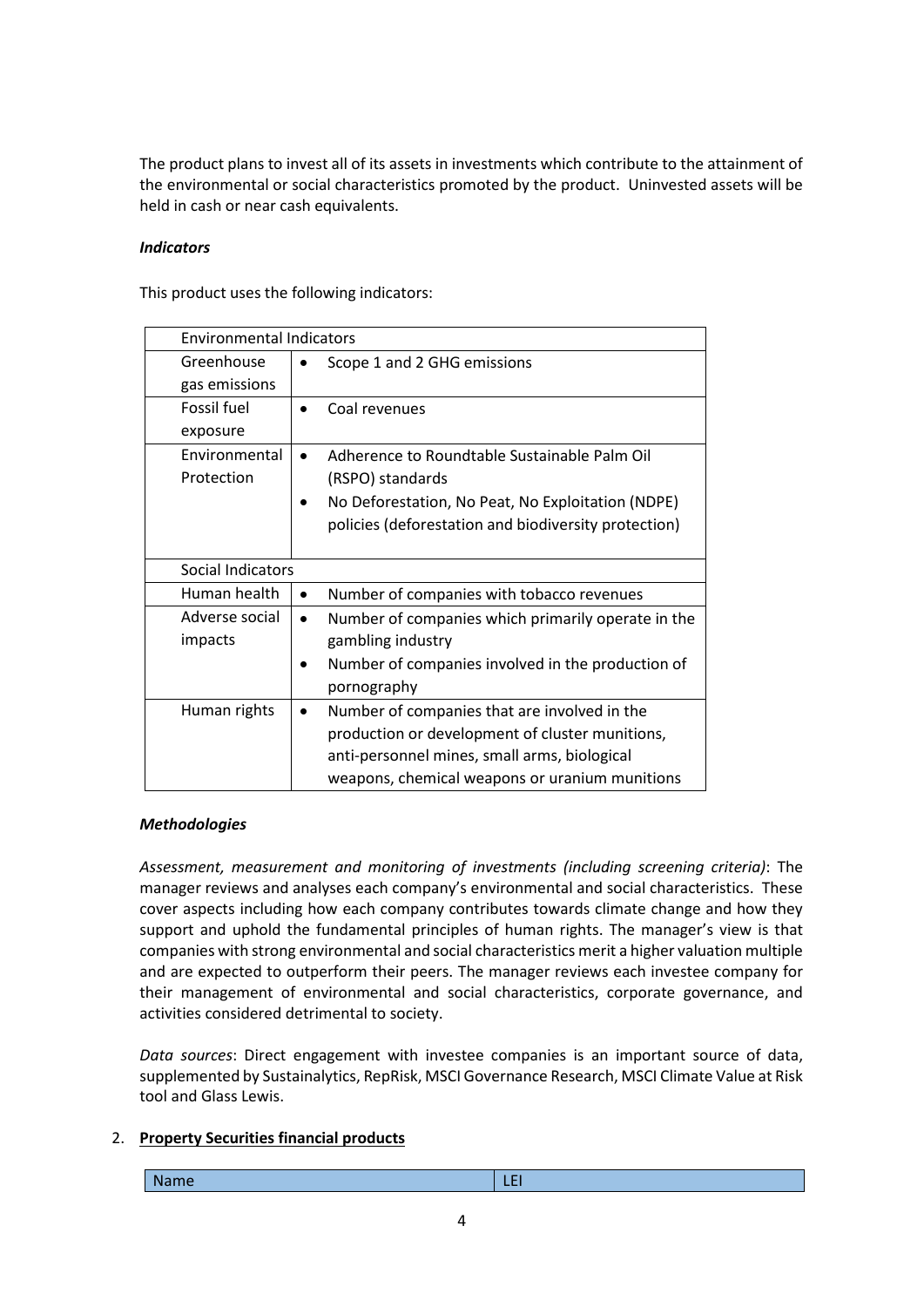The product plans to invest all of its assets in investments which contribute to the attainment of the environmental or social characteristics promoted by the product. Uninvested assets will be held in cash or near cash equivalents.

### *Indicators*

This product uses the following indicators:

|                   | <b>Environmental Indicators</b>                                 |  |
|-------------------|-----------------------------------------------------------------|--|
| Greenhouse        | Scope 1 and 2 GHG emissions                                     |  |
| gas emissions     |                                                                 |  |
| Fossil fuel       | Coal revenues                                                   |  |
| exposure          |                                                                 |  |
| Environmental     | Adherence to Roundtable Sustainable Palm Oil                    |  |
| Protection        | (RSPO) standards                                                |  |
|                   | No Deforestation, No Peat, No Exploitation (NDPE)               |  |
|                   | policies (deforestation and biodiversity protection)            |  |
|                   |                                                                 |  |
| Social Indicators |                                                                 |  |
| Human health      | Number of companies with tobacco revenues<br>$\bullet$          |  |
| Adverse social    | Number of companies which primarily operate in the<br>$\bullet$ |  |
| impacts           | gambling industry                                               |  |
|                   | Number of companies involved in the production of               |  |
|                   | pornography                                                     |  |
| Human rights      | Number of companies that are involved in the                    |  |
|                   | production or development of cluster munitions,                 |  |
|                   | anti-personnel mines, small arms, biological                    |  |
|                   | weapons, chemical weapons or uranium munitions                  |  |

## *Methodologies*

*Assessment, measurement and monitoring of investments (including screening criteria)*: The manager reviews and analyses each company's environmental and social characteristics. These cover aspects including how each company contributes towards climate change and how they support and uphold the fundamental principles of human rights. The manager's view is that companies with strong environmental and social characteristics merit a higher valuation multiple and are expected to outperform their peers. The manager reviews each investee company for their management of environmental and social characteristics, corporate governance, and activities considered detrimental to society.

*Data sources*: Direct engagement with investee companies is an important source of data, supplemented by Sustainalytics, RepRisk, MSCI Governance Research, MSCI Climate Value at Risk tool and Glass Lewis.

## 2. **Property Securities financial products**

| <b>Name</b> | $\mathcal{L}(\mathcal{L})$ and $\mathcal{L}(\mathcal{L})$ and $\mathcal{L}(\mathcal{L})$ and $\mathcal{L}(\mathcal{L})$ |
|-------------|-------------------------------------------------------------------------------------------------------------------------|
|-------------|-------------------------------------------------------------------------------------------------------------------------|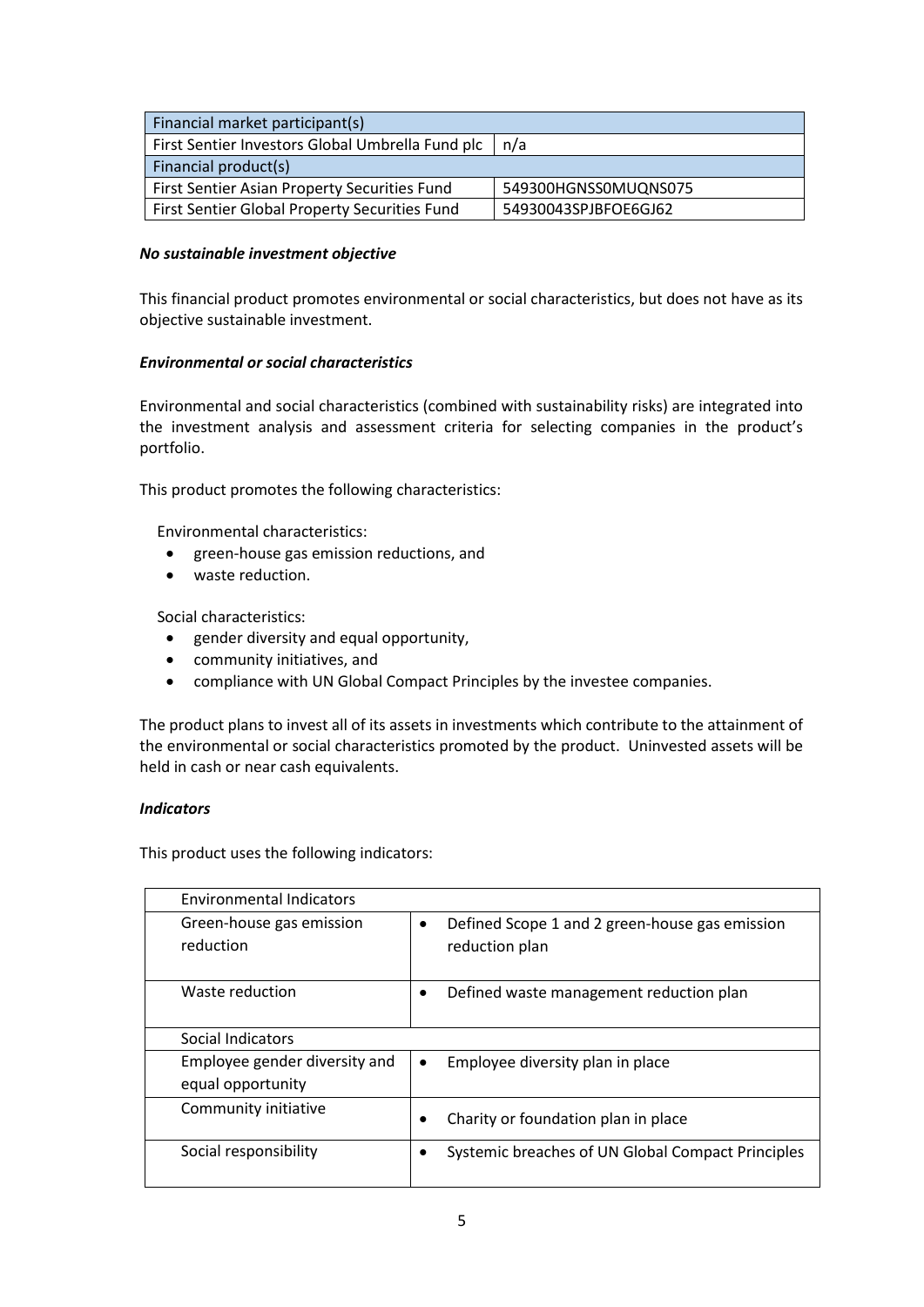| Financial market participant(s)                                       |  |
|-----------------------------------------------------------------------|--|
| First Sentier Investors Global Umbrella Fund plc   n/a                |  |
| Financial product(s)                                                  |  |
| First Sentier Asian Property Securities Fund<br>549300HGNSS0MUQNS075  |  |
| First Sentier Global Property Securities Fund<br>54930043SPJBFOE6GJ62 |  |

### *No sustainable investment objective*

This financial product promotes environmental or social characteristics, but does not have as its objective sustainable investment.

## *Environmental or social characteristics*

Environmental and social characteristics (combined with sustainability risks) are integrated into the investment analysis and assessment criteria for selecting companies in the product's portfolio.

This product promotes the following characteristics:

Environmental characteristics:

- green-house gas emission reductions, and
- waste reduction.

Social characteristics:

- gender diversity and equal opportunity,
- community initiatives, and
- compliance with UN Global Compact Principles by the investee companies.

The product plans to invest all of its assets in investments which contribute to the attainment of the environmental or social characteristics promoted by the product. Uninvested assets will be held in cash or near cash equivalents.

### *Indicators*

This product uses the following indicators:

| <b>Environmental Indicators</b> |                                                             |
|---------------------------------|-------------------------------------------------------------|
| Green-house gas emission        | Defined Scope 1 and 2 green-house gas emission<br>$\bullet$ |
| reduction                       | reduction plan                                              |
| Waste reduction                 | Defined waste management reduction plan                     |
| Social Indicators               |                                                             |
| Employee gender diversity and   | Employee diversity plan in place                            |
| equal opportunity               |                                                             |
| Community initiative            | Charity or foundation plan in place                         |
| Social responsibility           | Systemic breaches of UN Global Compact Principles           |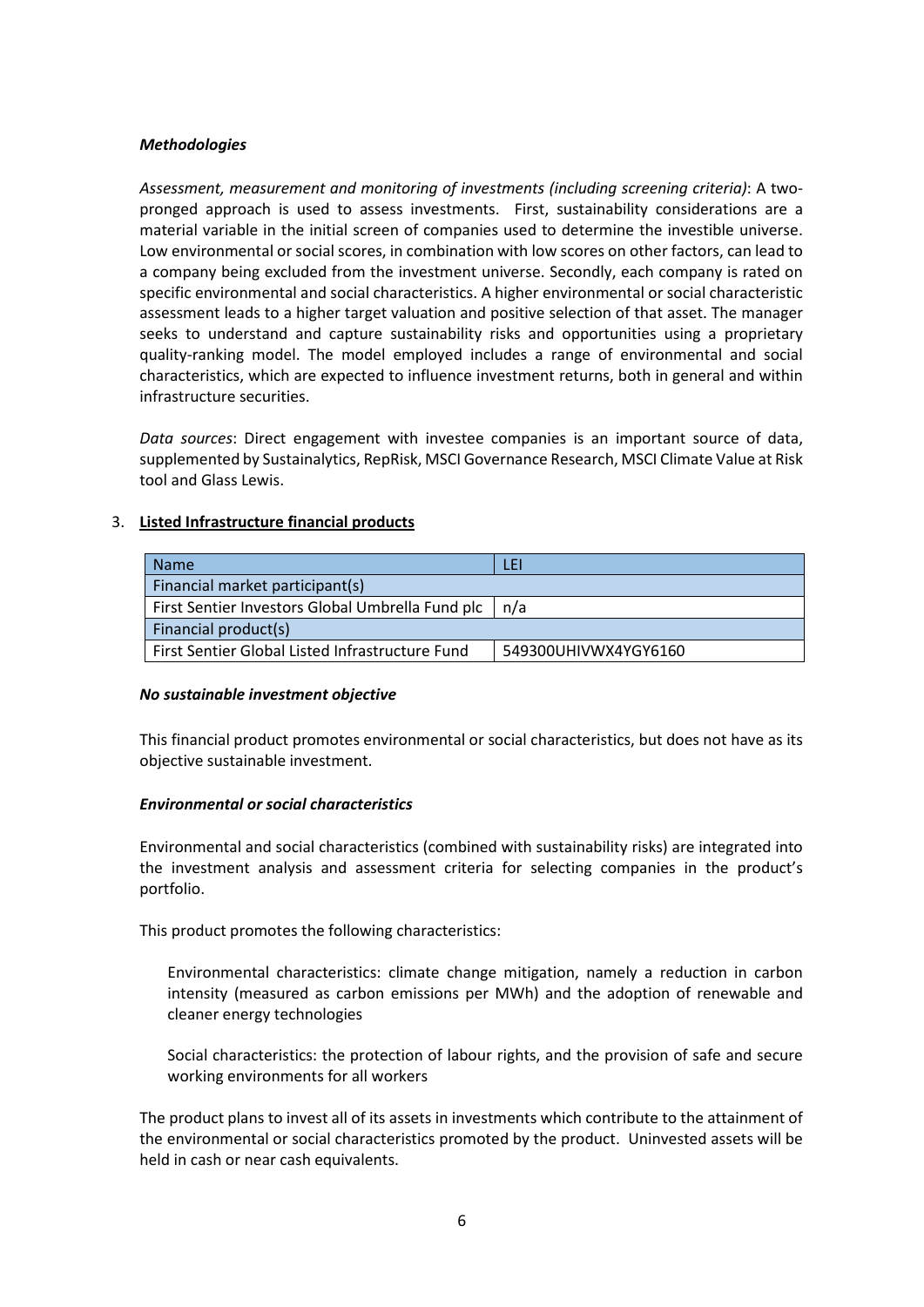#### *Methodologies*

*Assessment, measurement and monitoring of investments (including screening criteria)*: A twopronged approach is used to assess investments. First, sustainability considerations are a material variable in the initial screen of companies used to determine the investible universe. Low environmental or social scores, in combination with low scores on other factors, can lead to a company being excluded from the investment universe. Secondly, each company is rated on specific environmental and social characteristics. A higher environmental or social characteristic assessment leads to a higher target valuation and positive selection of that asset. The manager seeks to understand and capture sustainability risks and opportunities using a proprietary quality-ranking model. The model employed includes a range of environmental and social characteristics, which are expected to influence investment returns, both in general and within infrastructure securities.

*Data sources*: Direct engagement with investee companies is an important source of data, supplemented by Sustainalytics, RepRisk, MSCI Governance Research, MSCI Climate Value at Risk tool and Glass Lewis.

### 3. **Listed Infrastructure financial products**

| <b>Name</b>                                                             | LEI |
|-------------------------------------------------------------------------|-----|
| Financial market participant(s)                                         |     |
| First Sentier Investors Global Umbrella Fund plc   n/a                  |     |
| Financial product(s)                                                    |     |
| First Sentier Global Listed Infrastructure Fund<br>549300UHIVWX4YGY6160 |     |

#### *No sustainable investment objective*

This financial product promotes environmental or social characteristics, but does not have as its objective sustainable investment.

### *Environmental or social characteristics*

Environmental and social characteristics (combined with sustainability risks) are integrated into the investment analysis and assessment criteria for selecting companies in the product's portfolio.

This product promotes the following characteristics:

Environmental characteristics: climate change mitigation, namely a reduction in carbon intensity (measured as carbon emissions per MWh) and the adoption of renewable and cleaner energy technologies

Social characteristics: the protection of labour rights, and the provision of safe and secure working environments for all workers

The product plans to invest all of its assets in investments which contribute to the attainment of the environmental or social characteristics promoted by the product. Uninvested assets will be held in cash or near cash equivalents.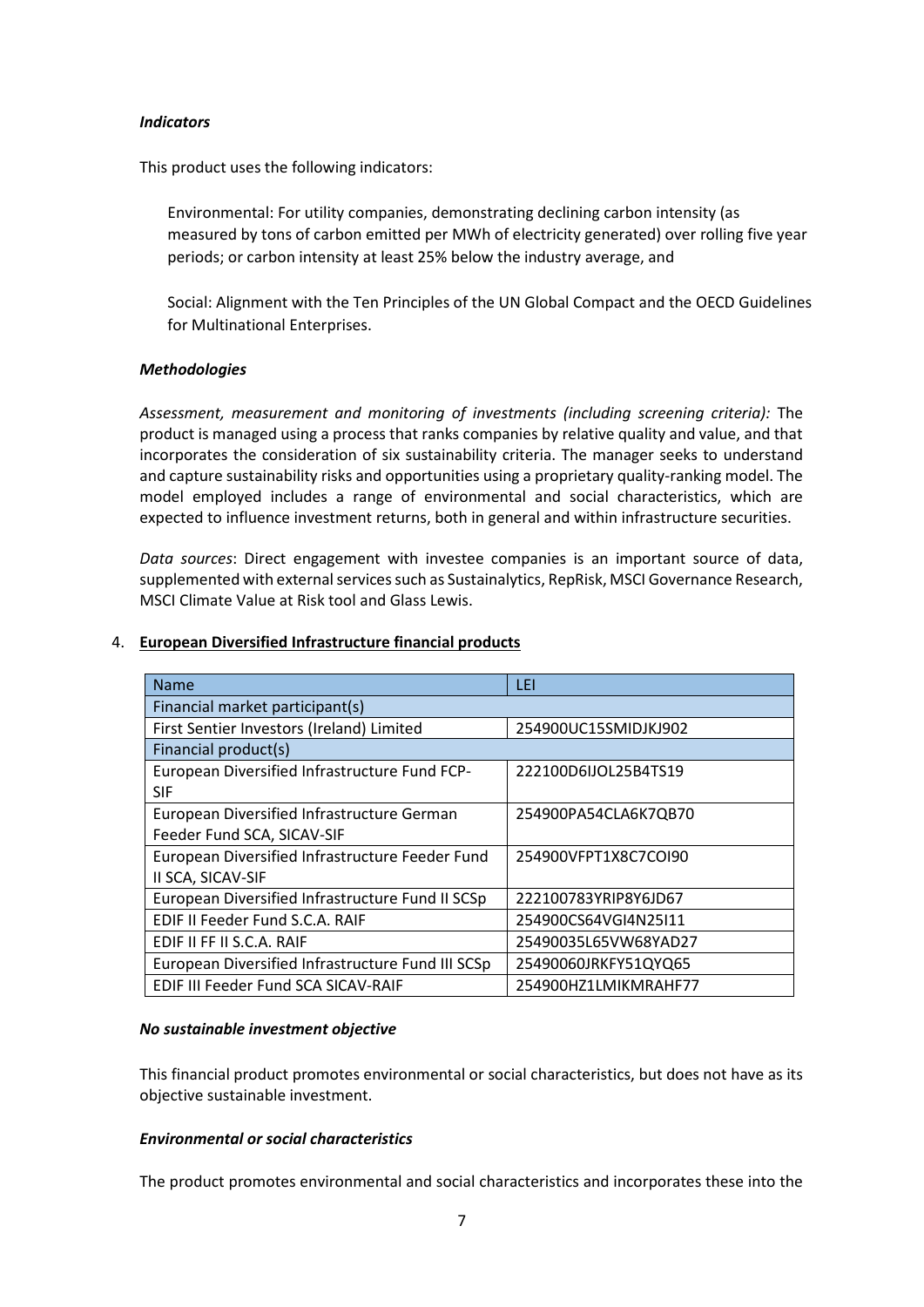### *Indicators*

This product uses the following indicators:

Environmental: For utility companies, demonstrating declining carbon intensity (as measured by tons of carbon emitted per MWh of electricity generated) over rolling five year periods; or carbon intensity at least 25% below the industry average, and

Social: Alignment with the Ten Principles of the UN Global Compact and the OECD Guidelines for Multinational Enterprises.

## *Methodologies*

*Assessment, measurement and monitoring of investments (including screening criteria):* The product is managed using a process that ranks companies by relative quality and value, and that incorporates the consideration of six sustainability criteria. The manager seeks to understand and capture sustainability risks and opportunities using a proprietary quality-ranking model. The model employed includes a range of environmental and social characteristics, which are expected to influence investment returns, both in general and within infrastructure securities.

*Data sources*: Direct engagement with investee companies is an important source of data, supplemented with external services such as Sustainalytics, RepRisk, MSCI Governance Research, MSCI Climate Value at Risk tool and Glass Lewis.

| <b>Name</b>                                       | LEI                  |
|---------------------------------------------------|----------------------|
| Financial market participant(s)                   |                      |
| First Sentier Investors (Ireland) Limited         | 254900UC15SMIDJKJ902 |
| Financial product(s)                              |                      |
| European Diversified Infrastructure Fund FCP-     | 222100D6JJOL25B4TS19 |
| <b>SIF</b>                                        |                      |
| European Diversified Infrastructure German        | 254900PA54CLA6K7QB70 |
| Feeder Fund SCA, SICAV-SIF                        |                      |
| European Diversified Infrastructure Feeder Fund   | 254900VFPT1X8C7COI90 |
| II SCA, SICAV-SIF                                 |                      |
| European Diversified Infrastructure Fund II SCSp  | 222100783YRIP8Y6JD67 |
| EDIF II Feeder Fund S.C.A. RAIF                   | 254900CS64VGI4N25I11 |
| EDIF II FF II S.C.A. RAIF                         | 25490035L65VW68YAD27 |
| European Diversified Infrastructure Fund III SCSp | 25490060JRKFY51QYQ65 |
| EDIF III Feeder Fund SCA SICAV-RAIF               | 254900HZ1LMIKMRAHF77 |

### 4. **European Diversified Infrastructure financial products**

### *No sustainable investment objective*

This financial product promotes environmental or social characteristics, but does not have as its objective sustainable investment.

### *Environmental or social characteristics*

The product promotes environmental and social characteristics and incorporates these into the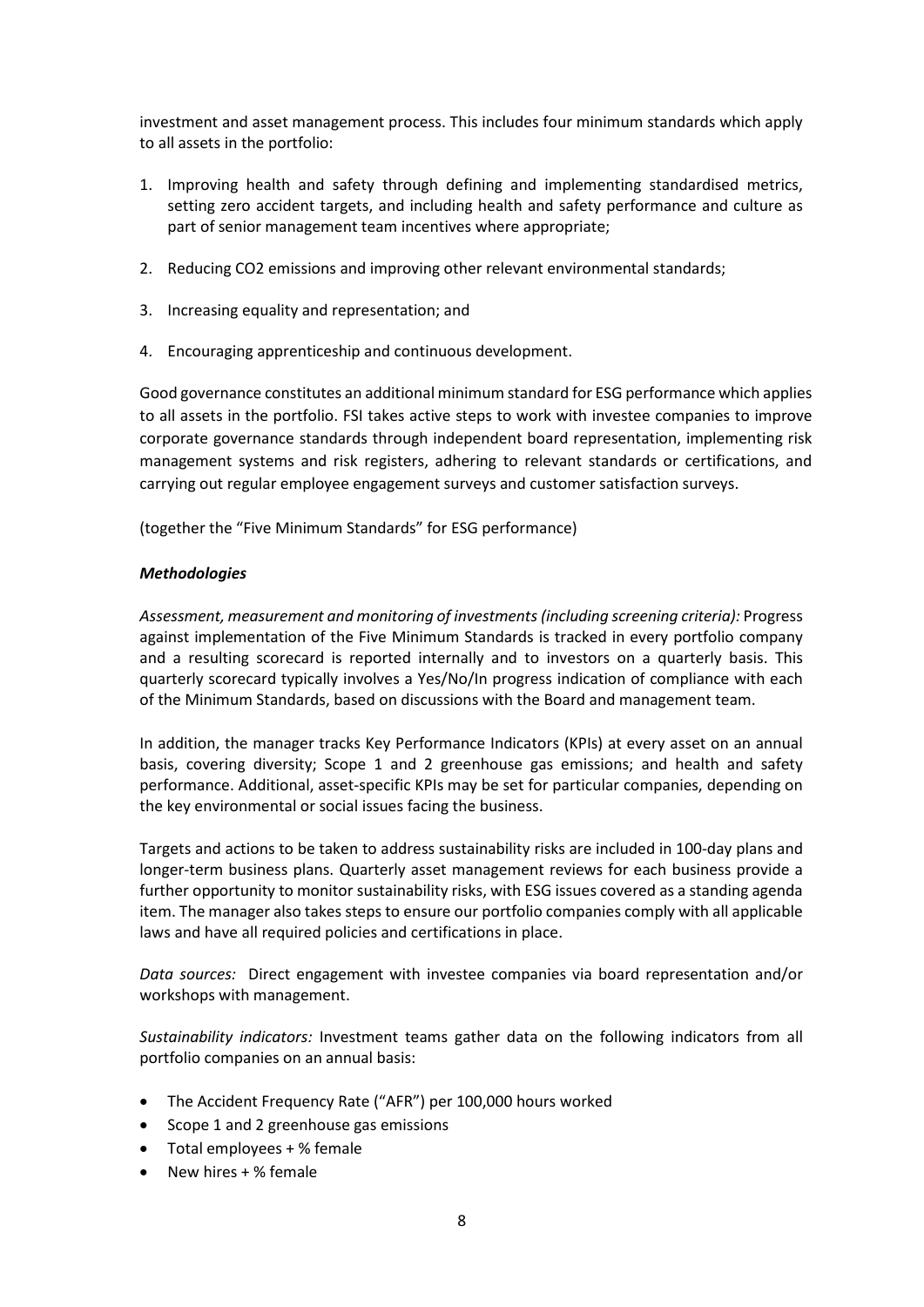investment and asset management process. This includes four minimum standards which apply to all assets in the portfolio:

- 1. Improving health and safety through defining and implementing standardised metrics, setting zero accident targets, and including health and safety performance and culture as part of senior management team incentives where appropriate;
- 2. Reducing CO2 emissions and improving other relevant environmental standards;
- 3. Increasing equality and representation; and
- 4. Encouraging apprenticeship and continuous development.

Good governance constitutes an additional minimum standard for ESG performance which applies to all assets in the portfolio. FSI takes active steps to work with investee companies to improve corporate governance standards through independent board representation, implementing risk management systems and risk registers, adhering to relevant standards or certifications, and carrying out regular employee engagement surveys and customer satisfaction surveys.

(together the "Five Minimum Standards" for ESG performance)

### *Methodologies*

*Assessment, measurement and monitoring of investments (including screening criteria):* Progress against implementation of the Five Minimum Standards is tracked in every portfolio company and a resulting scorecard is reported internally and to investors on a quarterly basis. This quarterly scorecard typically involves a Yes/No/In progress indication of compliance with each of the Minimum Standards, based on discussions with the Board and management team.

In addition, the manager tracks Key Performance Indicators (KPIs) at every asset on an annual basis, covering diversity; Scope 1 and 2 greenhouse gas emissions; and health and safety performance. Additional, asset-specific KPIs may be set for particular companies, depending on the key environmental or social issues facing the business.

Targets and actions to be taken to address sustainability risks are included in 100-day plans and longer-term business plans. Quarterly asset management reviews for each business provide a further opportunity to monitor sustainability risks, with ESG issues covered as a standing agenda item. The manager also takes steps to ensure our portfolio companies comply with all applicable laws and have all required policies and certifications in place.

*Data sources:* Direct engagement with investee companies via board representation and/or workshops with management.

*Sustainability indicators:* Investment teams gather data on the following indicators from all portfolio companies on an annual basis:

- The Accident Frequency Rate ("AFR") per 100,000 hours worked
- Scope 1 and 2 greenhouse gas emissions
- Total employees + % female
- New hires + % female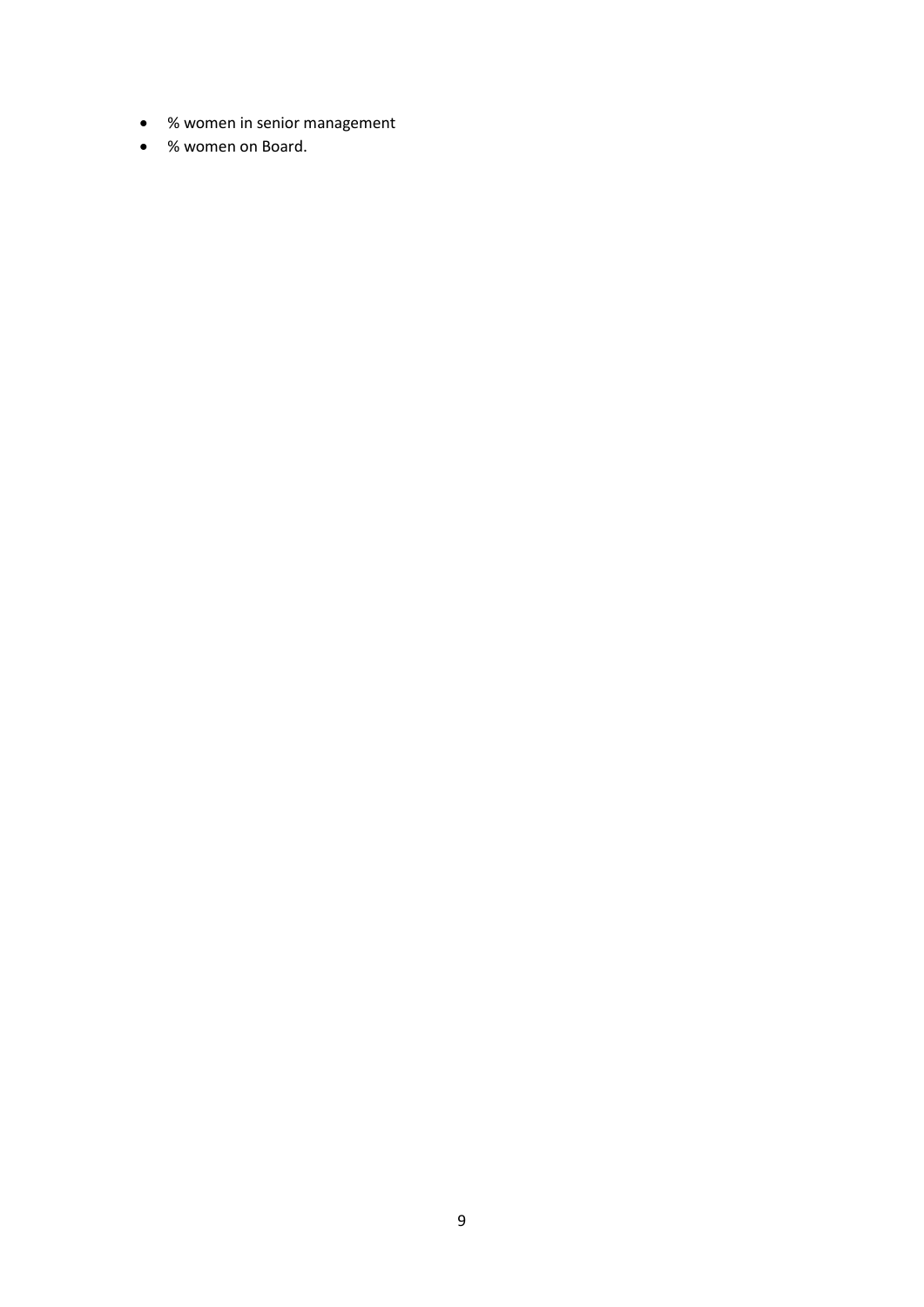- % women in senior management
- % women on Board.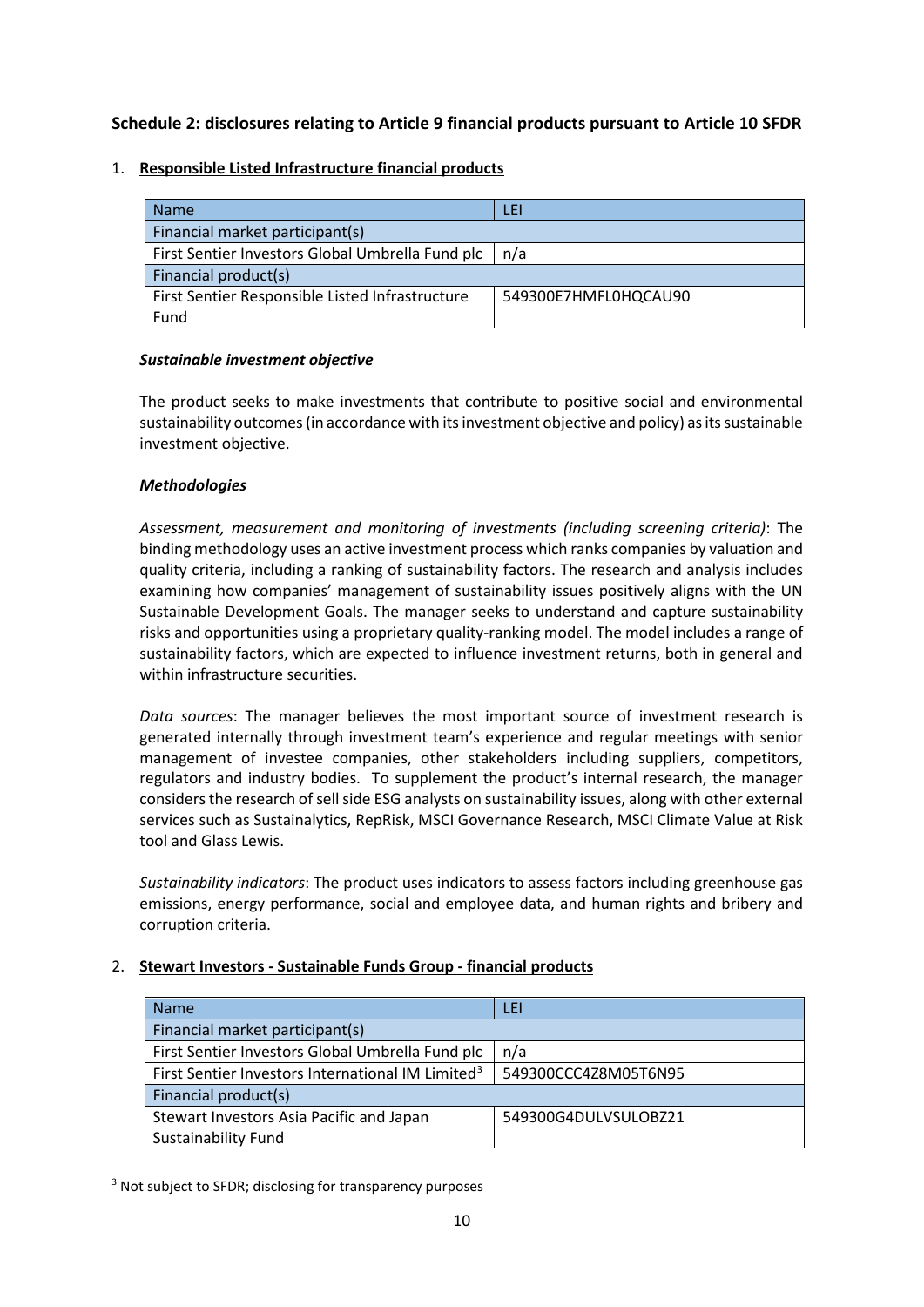# **Schedule 2: disclosures relating to Article 9 financial products pursuant to Article 10 SFDR**

## 1. **Responsible Listed Infrastructure financial products**

| <b>Name</b>                                                             | LEI |
|-------------------------------------------------------------------------|-----|
| Financial market participant(s)                                         |     |
| First Sentier Investors Global Umbrella Fund plc<br>n/a                 |     |
| Financial product(s)                                                    |     |
| First Sentier Responsible Listed Infrastructure<br>549300E7HMFL0HQCAU90 |     |
| Fund                                                                    |     |

## *Sustainable investment objective*

The product seeks to make investments that contribute to positive social and environmental sustainability outcomes (in accordance with its investment objective and policy) as its sustainable investment objective.

## *Methodologies*

*Assessment, measurement and monitoring of investments (including screening criteria)*: The binding methodology uses an active investment process which ranks companies by valuation and quality criteria, including a ranking of sustainability factors. The research and analysis includes examining how companies' management of sustainability issues positively aligns with the UN Sustainable Development Goals. The manager seeks to understand and capture sustainability risks and opportunities using a proprietary quality-ranking model. The model includes a range of sustainability factors, which are expected to influence investment returns, both in general and within infrastructure securities.

*Data sources*: The manager believes the most important source of investment research is generated internally through investment team's experience and regular meetings with senior management of investee companies, other stakeholders including suppliers, competitors, regulators and industry bodies. To supplement the product's internal research, the manager considers the research of sell side ESG analysts on sustainability issues, along with other external services such as Sustainalytics, RepRisk, MSCI Governance Research, MSCI Climate Value at Risk tool and Glass Lewis.

*Sustainability indicators*: The product uses indicators to assess factors including greenhouse gas emissions, energy performance, social and employee data, and human rights and bribery and corruption criteria.

## 2. **Stewart Investors - Sustainable Funds Group - financial products**

| <b>Name</b>                                                                           | LEI                  |
|---------------------------------------------------------------------------------------|----------------------|
| Financial market participant(s)                                                       |                      |
| First Sentier Investors Global Umbrella Fund plc                                      | n/a                  |
| First Sentier Investors International IM Limited <sup>3</sup><br>549300CCC4Z8M05T6N95 |                      |
| Financial product(s)                                                                  |                      |
| Stewart Investors Asia Pacific and Japan                                              | 549300G4DULVSULOBZ21 |
| <b>Sustainability Fund</b>                                                            |                      |

<span id="page-9-0"></span><sup>3</sup> Not subject to SFDR; disclosing for transparency purposes

 $\overline{a}$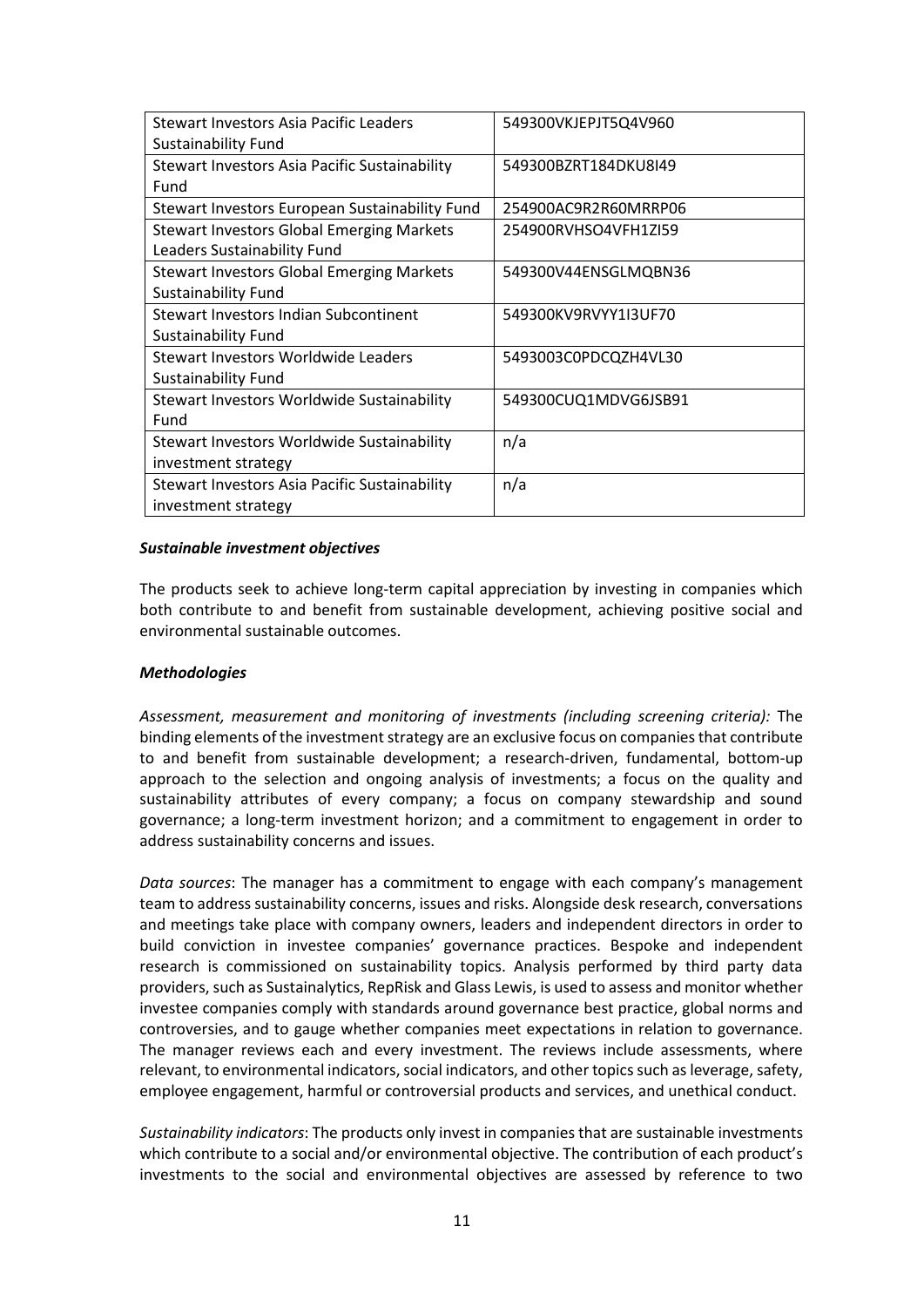| Stewart Investors Asia Pacific Leaders           | 549300VKJEPJT5Q4V960 |
|--------------------------------------------------|----------------------|
| <b>Sustainability Fund</b>                       |                      |
| Stewart Investors Asia Pacific Sustainability    | 549300BZRT184DKU8I49 |
| Fund                                             |                      |
| Stewart Investors European Sustainability Fund   | 254900AC9R2R60MRRP06 |
| <b>Stewart Investors Global Emerging Markets</b> | 254900RVHSO4VFH1ZI59 |
| Leaders Sustainability Fund                      |                      |
| <b>Stewart Investors Global Emerging Markets</b> | 549300V44ENSGLMQBN36 |
| <b>Sustainability Fund</b>                       |                      |
| Stewart Investors Indian Subcontinent            | 549300KV9RVYY1I3UF70 |
| <b>Sustainability Fund</b>                       |                      |
| Stewart Investors Worldwide Leaders              | 5493003C0PDCQZH4VL30 |
| <b>Sustainability Fund</b>                       |                      |
| Stewart Investors Worldwide Sustainability       | 549300CUQ1MDVG6JSB91 |
| Fund                                             |                      |
| Stewart Investors Worldwide Sustainability       | n/a                  |
| investment strategy                              |                      |
| Stewart Investors Asia Pacific Sustainability    | n/a                  |
| investment strategy                              |                      |

#### *Sustainable investment objectives*

The products seek to achieve long-term capital appreciation by investing in companies which both contribute to and benefit from sustainable development, achieving positive social and environmental sustainable outcomes.

### *Methodologies*

*Assessment, measurement and monitoring of investments (including screening criteria):* The binding elements of the investment strategy are an exclusive focus on companies that contribute to and benefit from sustainable development; a research-driven, fundamental, bottom-up approach to the selection and ongoing analysis of investments; a focus on the quality and sustainability attributes of every company; a focus on company stewardship and sound governance; a long-term investment horizon; and a commitment to engagement in order to address sustainability concerns and issues.

*Data sources*: The manager has a commitment to engage with each company's management team to address sustainability concerns, issues and risks. Alongside desk research, conversations and meetings take place with company owners, leaders and independent directors in order to build conviction in investee companies' governance practices. Bespoke and independent research is commissioned on sustainability topics. Analysis performed by third party data providers, such as Sustainalytics, RepRisk and Glass Lewis, is used to assess and monitor whether investee companies comply with standards around governance best practice, global norms and controversies, and to gauge whether companies meet expectations in relation to governance. The manager reviews each and every investment. The reviews include assessments, where relevant, to environmental indicators, social indicators, and other topics such as leverage, safety, employee engagement, harmful or controversial products and services, and unethical conduct.

*Sustainability indicators*: The products only invest in companies that are sustainable investments which contribute to a social and/or environmental objective. The contribution of each product's investments to the social and environmental objectives are assessed by reference to two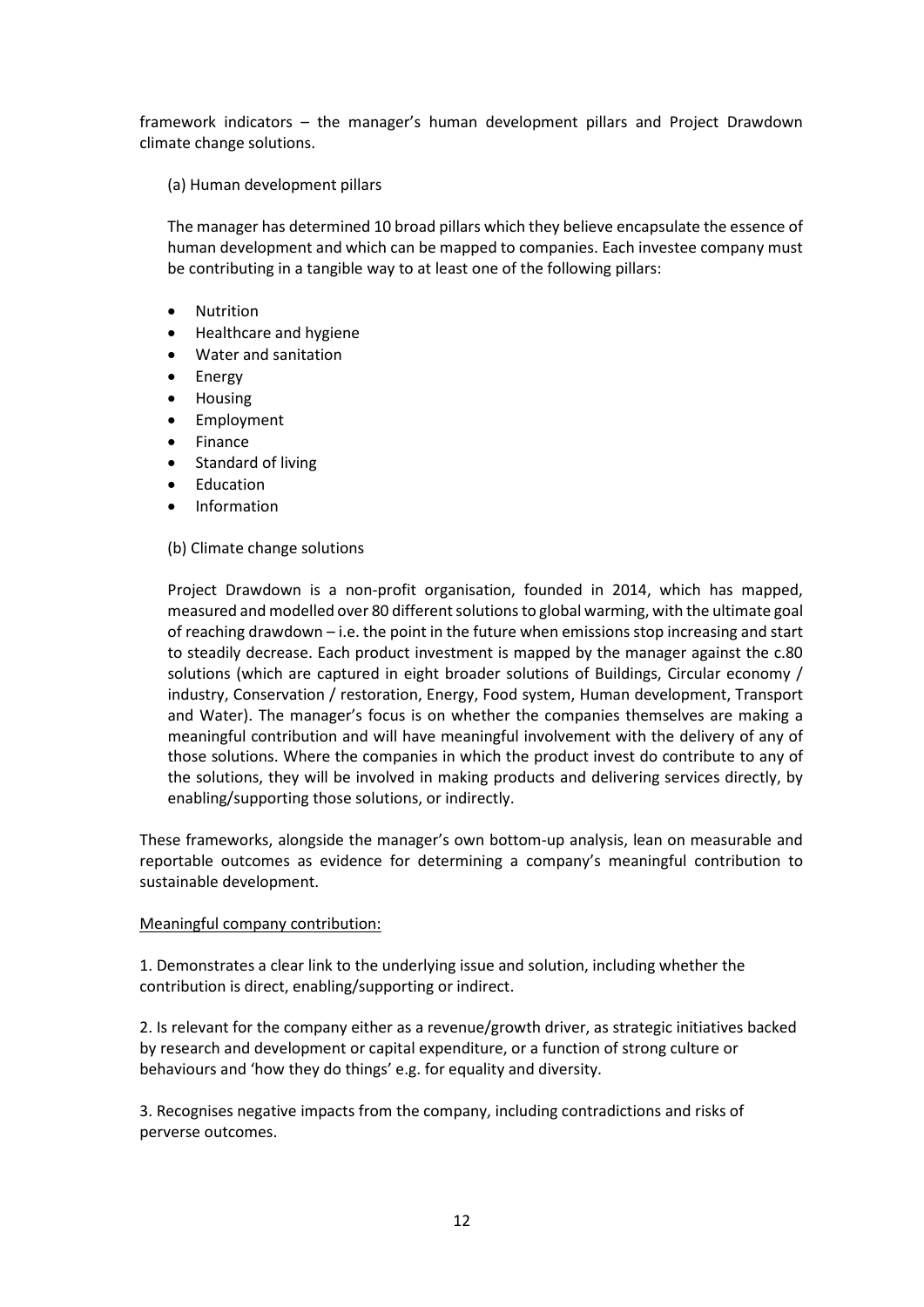framework indicators – the manager's human development pillars and Project Drawdown climate change solutions.

(a) Human development pillars

The manager has determined 10 broad pillars which they believe encapsulate the essence of human development and which can be mapped to companies. Each investee company must be contributing in a tangible way to at least one of the following pillars:

- Nutrition
- Healthcare and hygiene
- Water and sanitation
- Energy
- Housing
- **Employment**
- **Finance**
- Standard of living
- **Education**
- Information

### (b) Climate change solutions

Project Drawdown is a non-profit organisation, founded in 2014, which has mapped, measured and modelled over 80 different solutions to global warming, with the ultimate goal of reaching drawdown – i.e. the point in the future when emissions stop increasing and start to steadily decrease. Each product investment is mapped by the manager against the c.80 solutions (which are captured in eight broader solutions of Buildings, Circular economy / industry, Conservation / restoration, Energy, Food system, Human development, Transport and Water). The manager's focus is on whether the companies themselves are making a meaningful contribution and will have meaningful involvement with the delivery of any of those solutions. Where the companies in which the product invest do contribute to any of the solutions, they will be involved in making products and delivering services directly, by enabling/supporting those solutions, or indirectly.

These frameworks, alongside the manager's own bottom-up analysis, lean on measurable and reportable outcomes as evidence for determining a company's meaningful contribution to sustainable development.

### Meaningful company contribution:

1. Demonstrates a clear link to the underlying issue and solution, including whether the contribution is direct, enabling/supporting or indirect.

2. Is relevant for the company either as a revenue/growth driver, as strategic initiatives backed by research and development or capital expenditure, or a function of strong culture or behaviours and 'how they do things' e.g. for equality and diversity.

3. Recognises negative impacts from the company, including contradictions and risks of perverse outcomes.